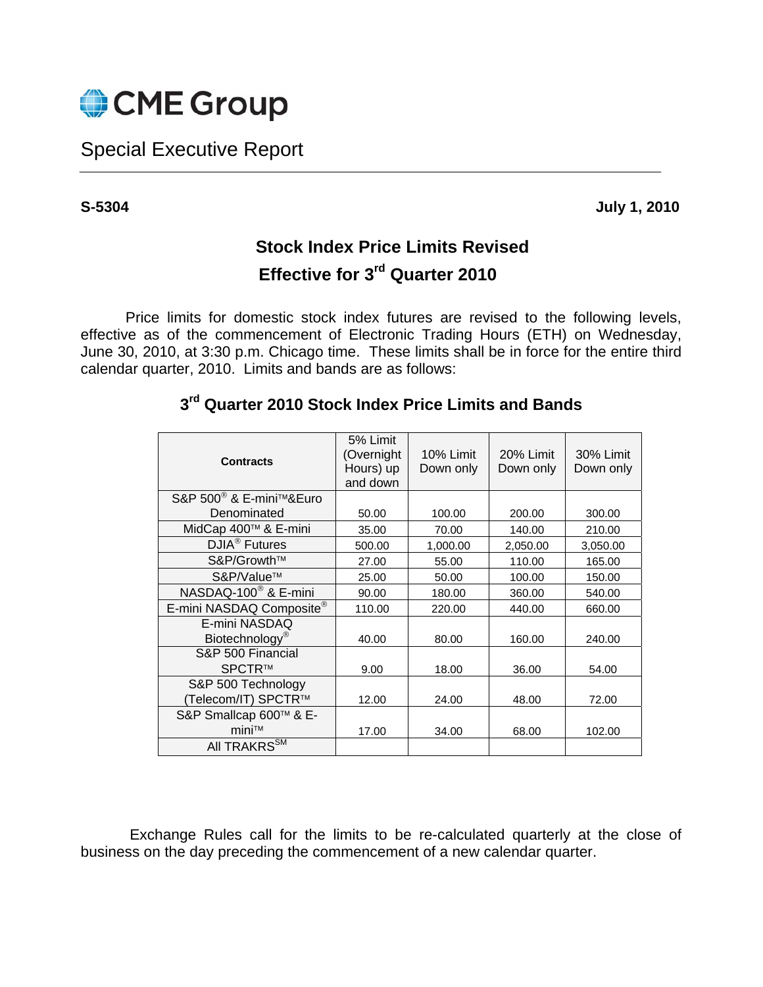

## Special Executive Report

**S-5304 July 1, 2010** 

## **Stock Index Price Limits Revised Effective for 3rd Quarter 2010**

Price limits for domestic stock index futures are revised to the following levels, effective as of the commencement of Electronic Trading Hours (ETH) on Wednesday, June 30, 2010, at 3:30 p.m. Chicago time. These limits shall be in force for the entire third calendar quarter, 2010. Limits and bands are as follows:

| <b>Contracts</b>                    | 5% Limit<br>(Overnight<br>Hours) up<br>and down | 10% Limit<br>Down only | 20% Limit<br>Down only | 30% Limit<br>Down only |
|-------------------------------------|-------------------------------------------------|------------------------|------------------------|------------------------|
| S&P 500 <sup>®</sup> & E-mini™&Euro |                                                 |                        |                        |                        |
| Denominated                         | 50.00                                           | 100.00                 | 200.00                 | 300.00                 |
| MidCap 400™ & E-mini                | 35.00                                           | 70.00                  | 140.00                 | 210.00                 |
| DJIA <sup>®</sup> Futures           | 500.00                                          | 1,000.00               | 2,050.00               | 3,050.00               |
| S&P/Growth™                         | 27.00                                           | 55.00                  | 110.00                 | 165.00                 |
| S&P/Value™                          | 25.00                                           | 50.00                  | 100.00                 | 150.00                 |
| NASDAQ-100 <sup>®</sup> & E-mini    | 90.00                                           | 180.00                 | 360.00                 | 540.00                 |
| E-mini NASDAQ Composite®            | 110.00                                          | 220.00                 | 440.00                 | 660.00                 |
| E-mini NASDAQ                       |                                                 |                        |                        |                        |
| Biotechnology <sup>®</sup>          | 40.00                                           | 80.00                  | 160.00                 | 240.00                 |
| S&P 500 Financial                   |                                                 |                        |                        |                        |
| SPCTR™                              | 9.00                                            | 18.00                  | 36.00                  | 54.00                  |
| S&P 500 Technology                  |                                                 |                        |                        |                        |
| (Telecom/IT) SPCTR™                 | 12.00                                           | 24.00                  | 48.00                  | 72.00                  |
| S&P Smallcap 600™ & E-              |                                                 |                        |                        |                        |
| mini™                               | 17.00                                           | 34.00                  | 68.00                  | 102.00                 |
| All TRAKRS <sup>SM</sup>            |                                                 |                        |                        |                        |

## **3rd Quarter 2010 Stock Index Price Limits and Bands**

 Exchange Rules call for the limits to be re-calculated quarterly at the close of business on the day preceding the commencement of a new calendar quarter.